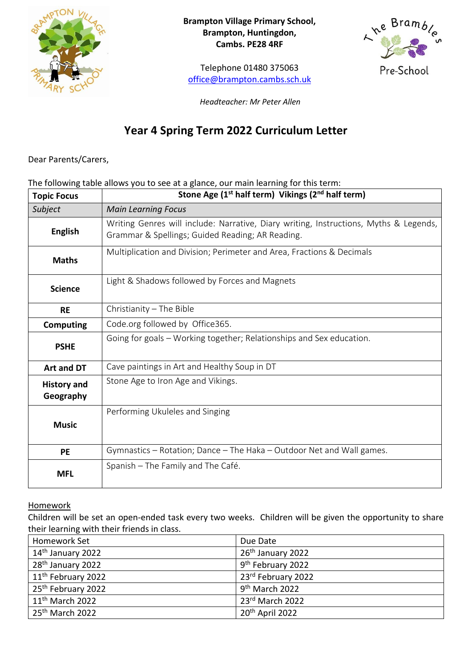

**Brampton Village Primary School, Brampton, Huntingdon, Cambs. PE28 4RF**

Telephone 01480 375063 [office@brampton.cambs.sch.uk](mailto:office@brampton.cambs.sch.uk)



*Headteacher: Mr Peter Allen*

# **Year 4 Spring Term 2022 Curriculum Letter**

Dear Parents/Carers,

### The following table allows you to see at a glance, our main learning for this term:

| <b>Topic Focus</b>              | Stone Age (1 <sup>st</sup> half term) Vikings (2 <sup>nd</sup> half term)                                                                 |
|---------------------------------|-------------------------------------------------------------------------------------------------------------------------------------------|
| Subject                         | <b>Main Learning Focus</b>                                                                                                                |
| <b>English</b>                  | Writing Genres will include: Narrative, Diary writing, Instructions, Myths & Legends,<br>Grammar & Spellings; Guided Reading; AR Reading. |
| <b>Maths</b>                    | Multiplication and Division; Perimeter and Area, Fractions & Decimals                                                                     |
| <b>Science</b>                  | Light & Shadows followed by Forces and Magnets                                                                                            |
| <b>RE</b>                       | Christianity $-$ The Bible                                                                                                                |
| <b>Computing</b>                | Code.org followed by Office365.                                                                                                           |
| <b>PSHE</b>                     | Going for goals - Working together; Relationships and Sex education.                                                                      |
| Art and DT                      | Cave paintings in Art and Healthy Soup in DT                                                                                              |
| <b>History and</b><br>Geography | Stone Age to Iron Age and Vikings.                                                                                                        |
| <b>Music</b>                    | Performing Ukuleles and Singing                                                                                                           |
| <b>PE</b>                       | Gymnastics – Rotation; Dance – The Haka – Outdoor Net and Wall games.                                                                     |
| <b>MFL</b>                      | Spanish - The Family and The Café.                                                                                                        |

**Homework** 

Children will be set an open-ended task every two weeks. Children will be given the opportunity to share their learning with their friends in class.

| Homework Set                   | Due Date                      |
|--------------------------------|-------------------------------|
| 14 <sup>th</sup> January 2022  | 26 <sup>th</sup> January 2022 |
| 28 <sup>th</sup> January 2022  | 9 <sup>th</sup> February 2022 |
| 11 <sup>th</sup> February 2022 | 23rd February 2022            |
| 25 <sup>th</sup> February 2022 | 9 <sup>th</sup> March 2022    |
| $11th$ March 2022              | 23rd March 2022               |
| 25 <sup>th</sup> March 2022    | 20 <sup>th</sup> April 2022   |